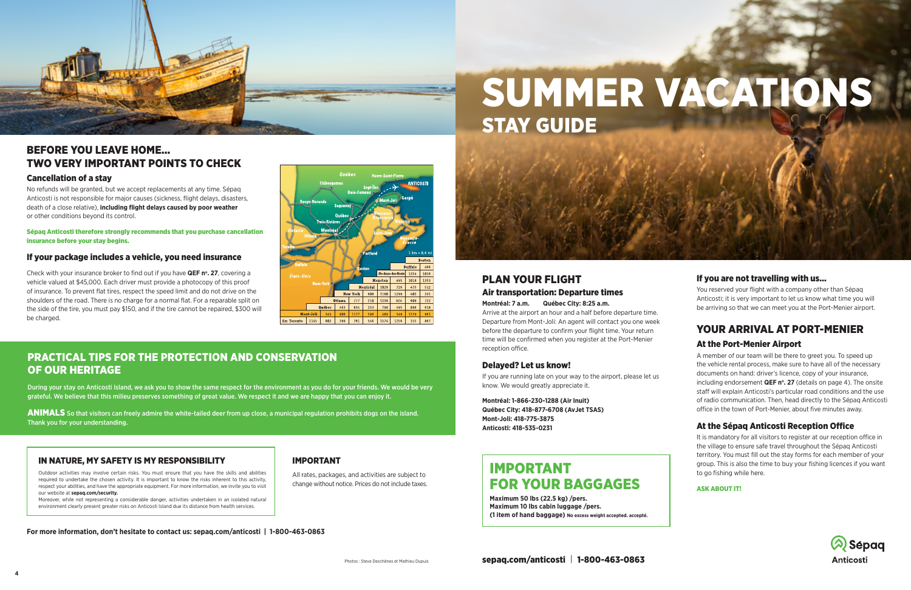# SUMMER VACATIONS STAY GUIDE



# IMPORTANT FOR YOUR BAGGAGES

**Maximum 50 lbs (22.5 kg) /pers. Maximum 10 lbs cabin luggage /pers. (1 item of hand baggage) No excess weight accepted. accepté.**

## PLAN YOUR FLIGHT

#### Air transportation: Departure times

**Montréal: 7 a.m. Québec City: 8:25 a.m.** 

Arrive at the airport an hour and a half before departure time. Departure from Mont-Joli: An agent will contact you one week before the departure to confirm your flight time. Your return time will be confirmed when you register at the Port-Menier reception office.

You reserved your flight with a company other than Sépaq Anticosti; it is very important to let us know what time you will be arriving so that we can meet you at the Port-Menier airport.

#### Delayed? Let us know!

If you are running late on your way to the airport, please let us know. We would greatly appreciate it.

**Montréal: 1-866-230-1288 (Air Inuit) Québec City: 418-877-6708 (AvJet TSAS) Mont-Joli: 418-775-3875 Anticosti: 418-535-0231**

#### If you are not travelling with us…

## YOUR ARRIVAL AT PORT-MENIER At the Port-Menier Airport

A member of our team will be there to greet you. To speed up the vehicle rental process, make sure to have all of the necessary documents on hand: driver's licence, copy of your insurance, including endorsement **QEF n°. 27** (details on page 4). The onsite staff will explain Anticosti's particular road conditions and the use of radio communication. Then, head directly to the Sépaq Anticosti office in the town of Port-Menier, about five minutes away.

Check with your insurance broker to find out if you have **QEF n°. 27**, covering a vehicle valued at \$45,000. Each driver must provide a photocopy of this proof of insurance. To prevent flat tires, respect the speed limit and do not drive on the shoulders of the road. There is no charge for a normal flat. For a reparable split on the side of the tire, you must pay \$150, and if the tire cannot be repaired, \$300 will be charged.



### At the Sépaq Anticosti Reception Office

It is mandatory for all visitors to register at our reception office in the village to ensure safe travel throughout the Sépaq Anticosti territory. You must fill out the stay forms for each member of your group. This is also the time to buy your fishing licences if you want to go fishing while here.

#### ASK ABOUT IT!





## BEFORE YOU LEAVE HOME… TWO VERY IMPORTANT POINTS TO CHECK

#### Cancellation of a stay

No refunds will be granted, but we accept replacements at any time. Sépaq Anticosti is not responsible for major causes (sickness, flight delays, disasters, death of a close relative), **including flight delays caused by poor weather** or other conditions beyond its control.

Sépaq Anticosti therefore strongly recommends that you purchase cancellation insurance before your stay begins.

#### If your package includes a vehicle, you need insurance

**For more information, don't hesitate to contact us: sepaq.com/anticosti | 1-800-463-0863**

#### IMPORTANT

All rates, packages, and activities are subject to change without notice. Prices do not include taxes.

#### IN NATURE, MY SAFETY IS MY RESPONSIBILITY

Outdoor activities may involve certain risks. You must ensure that you have the skills and abilities required to undertake the chosen activity. It is important to know the risks inherent to this activity, respect your abilities, and have the appropriate equipment. For more information, we invite you to visit our website at **sepaq.com/security.**

Moreover, while not representing a considerable danger, activities undertaken in an isolated natural environment clearly present greater risks on Anticosti Island due its distance from health services.

## PRACTICAL TIPS FOR THE PROTECTION AND CONSERVATION OF OUR HERITAGE

During your stay on Anticosti Island, we ask you to show the same respect for the environment as you do for your friends. We would be very grateful. We believe that this milieu preserves something of great value. We respect it and we are happy that you can enjoy it.

ANIMALS So that visitors can freely admire the white-tailed deer from up close, a municipal regulation prohibits dogs on the island. Thank you for your understanding.